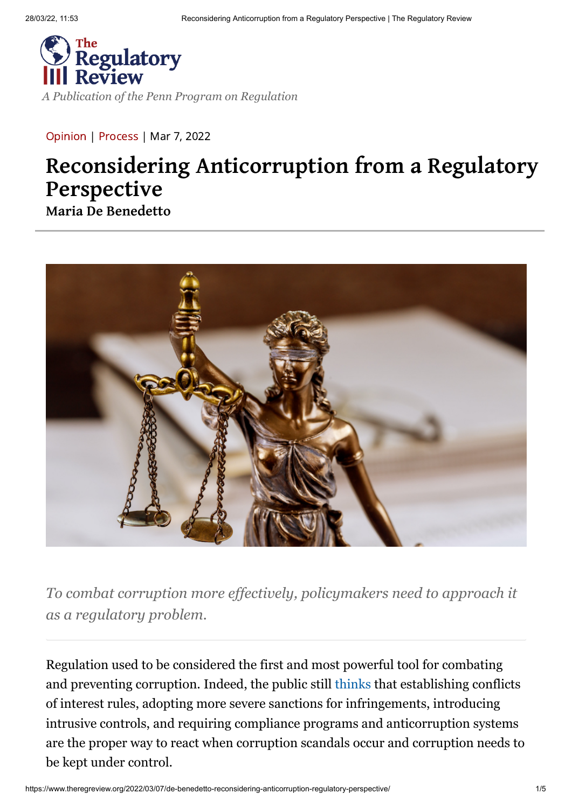

*[A Publication of the Penn Program on Regulation](http://pennreg.org/)*

[Opinion](https://www.theregreview.org/article-type/opinion/) | [Process](https://www.theregreview.org/primary/process-primary/) | Mar 7, 2022

## **Reconsidering Anticorruption from a Regulatory Perspective**

**[Maria De Benedetto](https://www.theregreview.org/author/mdebenedetto/)**



*To combat corruption more effectively, policymakers need to approach it as a regulatory problem.*

Regulation used to be considered the first and most powerful tool for combating and preventing corruption. Indeed, the public still [thinks](https://escholarship.org/uc/item/5np4s6qq) that establishing conflicts of interest rules, adopting more severe sanctions for infringements, introducing intrusive controls, and requiring compliance programs and anticorruption systems are the proper way to react when corruption scandals occur and corruption needs to be kept under control.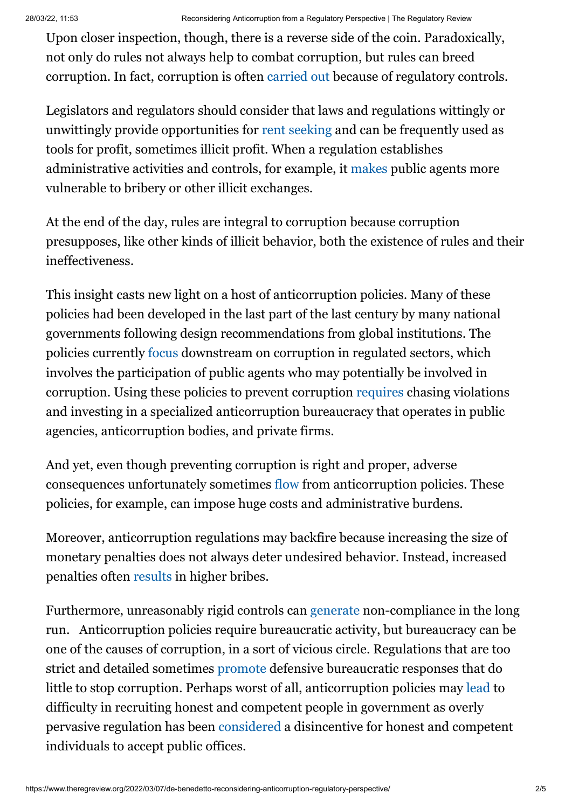Upon closer inspection, though, there is a reverse side of the coin. Paradoxically, not only do rules not always help to combat corruption, but rules can breed corruption. In fact, corruption is often [carried out](https://www.elevenjournals.com/tijdschrift/ejlr/2015/4/EJLR_1387-2370_2015_017_004_001) because of regulatory controls.

Legislators and regulators should consider that laws and regulations wittingly or unwittingly provide opportunities for [rent seeking](https://www.investopedia.com/terms/r/rentseeking.asp) and can be frequently used as tools for profit, sometimes illicit profit. When a regulation establishes administrative activities and controls, for example, it [makes](https://scholar.harvard.edu/files/shleifer/files/corruption.pdf#page=4) public agents more vulnerable to bribery or other illicit exchanges.

At the end of the day, rules are integral to corruption because corruption presupposes, like other kinds of illicit behavior, both the existence of rules and their ineffectiveness.

This insight casts new light on a host of anticorruption policies. Many of these policies had been developed in the last part of the last century by many national governments following design recommendations from global institutions. The policies currently [focus](https://mneguidelines.oecd.org/faq-how-to-address-bribery-and-corruption-risks-in-mineral-supply-chains.pdf#page=7) downstream on corruption in regulated sectors, which involves the participation of public agents who may potentially be involved in corruption. Using these policies to prevent corruption [requires](https://www.elgaronline.com/view/9781788112482/07_chapter1.xhtml) chasing violations and investing in a specialized anticorruption bureaucracy that operates in public agencies, anticorruption bodies, and private firms.

And yet, even though preventing corruption is right and proper, adverse consequences unfortunately sometimes [flow](https://www.elevenjournals.com/tijdschrift/ejlr/2015/4/EJLR_1387-2370_2015_017_004_001) from anticorruption policies. These policies, for example, can impose huge costs and administrative burdens.

Moreover, anticorruption regulations may backfire because increasing the size of monetary penalties does not always deter undesired behavior. Instead, increased penalties often [results](https://escholarship.org/uc/item/5np4s6qq) in higher bribes.

Furthermore, unreasonably rigid controls can [generate](http://johnbraithwaite.com/wp-content/uploads/2016/03/Improving%20Compliance%20Strategies%20and%20Practical%20Applications%20in%20OECD%20Countries.pdf#page=5) non-compliance in the long run. Anticorruption policies require bureaucratic activity, but bureaucracy can be one of the causes of corruption, in a sort of vicious circle. Regulations that are too strict and detailed sometimes [promote](https://link.springer.com/article/10.1007/s40685-018-0074-2#:~:text=On%20average%2C%202.5%20(SD%20%3D,all%20their%20decisions%20were%20defensive.) defensive bureaucratic responses that do little to stop corruption. Perhaps worst of all, anticorruption policies may [lead](https://brill.com/view/book/edcoll/9789004481213/B9789004481213_s019.xml) to difficulty in recruiting honest and competent people in government as overly pervasive regulation has been [considered](https://www.cambridge.org/core/books/corruption-and-government/94925B501D79FA0357060F5489DE2F1F#fndtn-information) a disincentive for honest and competent individuals to accept public offices.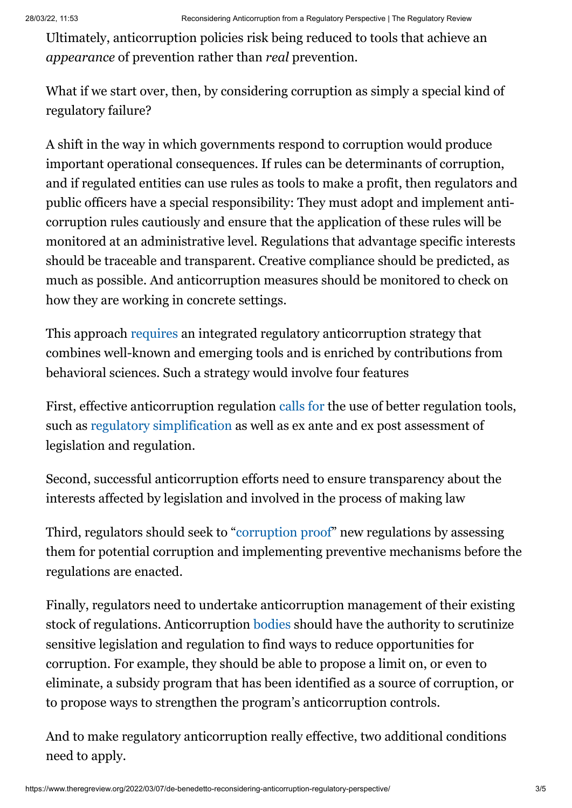Ultimately, anticorruption policies risk being reduced to tools that achieve an *appearance* of prevention rather than *real* prevention.

What if we start over, then, by considering corruption as simply a special kind of regulatory failure?

A shift in the way in which governments respond to corruption would produce important operational consequences. If rules can be determinants of corruption, and if regulated entities can use rules as tools to make a profit, then regulators and public officers have a special responsibility: They must adopt and implement anticorruption rules cautiously and ensure that the application of these rules will be monitored at an administrative level. Regulations that advantage specific interests should be traceable and transparent. Creative compliance should be predicted, as much as possible. And anticorruption measures should be monitored to check on how they are working in concrete settings.

This approach [requires](https://www.cambridge.org/core/journals/european-journal-of-risk-regulation/article/abs/making-law-effective-behavioural-insights-into-compliance/773D3B3B061D25427A411D9D0A1A9F2C) an integrated regulatory anticorruption strategy that combines well-known and emerging tools and is enriched by contributions from behavioral sciences. Such a strategy would involve four features

First, effective anticorruption regulation [calls for](https://www.tandfonline.com/doi/pdf/10.1080/13501763.2020.1784984?needAccess=true#page=2) the use of better regulation tools, such as [regulatory simplification](https://presidencia.gencat.cat/en/ambits_d_actuacio/millora_regulacio_normativa/simplificacio-i-reduccio-de-carregues-administratives/simplificacio-normativa/) as well as ex ante and ex post assessment of legislation and regulation.

Second, successful anticorruption efforts need to ensure transparency about the interests affected by legislation and involved in the process of making law

Third, regulators should seek to "[corruption proof](https://rai-see.org/wp-content/uploads/2015/06/Comparative_Study-Methodology_on_Anti-corruption_Assessment_of_Laws.pdf#page=13)" new regulations by assessing them for potential corruption and implementing preventive mechanisms before the regulations are enacted.

Finally, regulators need to undertake anticorruption management of their existing stock of regulations. Anticorruption [bodies](https://www.oecd.org/corruption/acn/39971975.pdf#page=4) should have the authority to scrutinize sensitive legislation and regulation to find ways to reduce opportunities for corruption. For example, they should be able to propose a limit on, or even to eliminate, a subsidy program that has been identified as a source of corruption, or to propose ways to strengthen the program's anticorruption controls.

And to make regulatory anticorruption really effective, two additional conditions need to apply.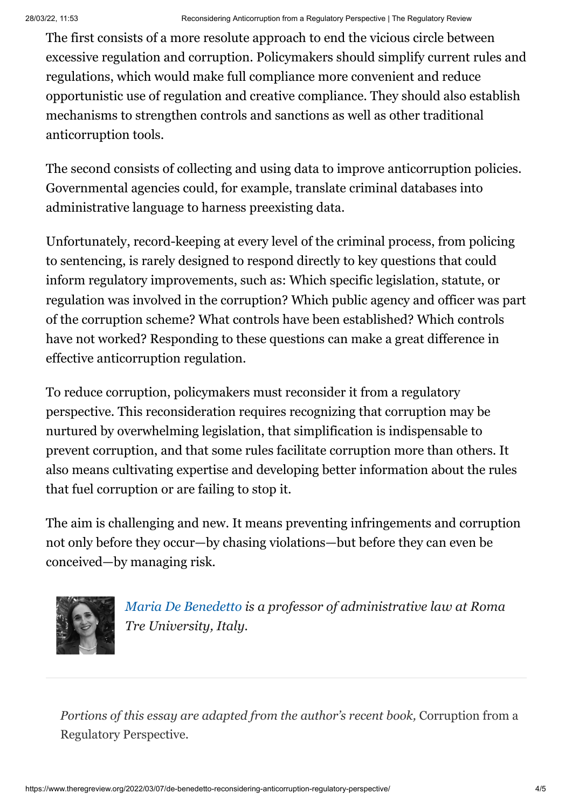The first consists of a more resolute approach to end the vicious circle between excessive regulation and corruption. Policymakers should simplify current rules and regulations, which would make full compliance more convenient and reduce opportunistic use of regulation and creative compliance. They should also establish mechanisms to strengthen controls and sanctions as well as other traditional anticorruption tools.

The second consists of collecting and using data to improve anticorruption policies. Governmental agencies could, for example, translate criminal databases into administrative language to harness preexisting data.

Unfortunately, record-keeping at every level of the criminal process, from policing to sentencing, is rarely designed to respond directly to key questions that could inform regulatory improvements, such as: Which specific legislation, statute, or regulation was involved in the corruption? Which public agency and officer was part of the corruption scheme? What controls have been established? Which controls have not worked? Responding to these questions can make a great difference in effective anticorruption regulation.

To reduce corruption, policymakers must reconsider it from a regulatory perspective. This reconsideration requires recognizing that corruption may be nurtured by overwhelming legislation, that simplification is indispensable to prevent corruption, and that some rules facilitate corruption more than others. It also means cultivating expertise and developing better information about the rules that fuel corruption or are failing to stop it.

The aim is challenging and new. It means preventing infringements and corruption not only before they occur—by chasing violations—but before they can even be conceived—by managing risk.



*[Maria De Benedetto](https://www.uniroma3.it/persone/MGsxYUhVcEdkbXcyYUV6SThiVmV2aGNrRkdoVjJ2ejNPb1AzMFU3N3Zkbz0=/) is a professor of administrative law at Roma Tre University, Italy.*

*Portions of this essay are adapted from the author's recent book,* Corruption from a Regulatory Perspective.